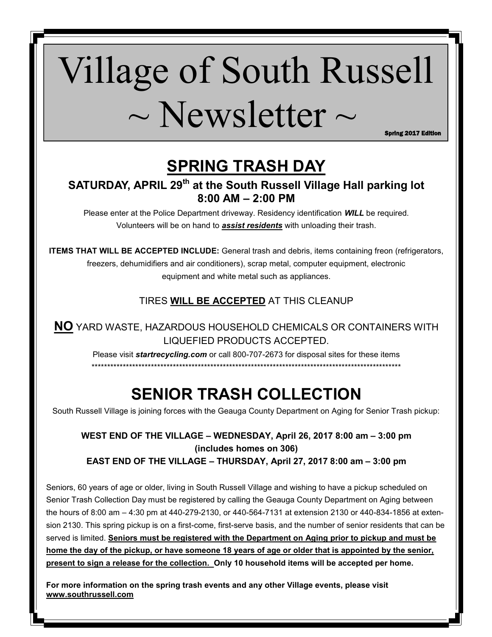# Village of South Russell  $\sim$  Newsletter  $\sim$

Spring 2017 Edition

# **SPRING TRASH DAY**

**SATURDAY, APRIL 29th at the South Russell Village Hall parking lot 8:00 AM – 2:00 PM** 

Please enter at the Police Department driveway. Residency identification *WILL* be required. Volunteers will be on hand to *assist residents* with unloading their trash.

**ITEMS THAT WILL BE ACCEPTED INCLUDE:** General trash and debris, items containing freon (refrigerators, freezers, dehumidifiers and air conditioners), scrap metal, computer equipment, electronic equipment and white metal such as appliances.

# TIRES **WILL BE ACCEPTED** AT THIS CLEANUP

**NO** YARD WASTE, HAZARDOUS HOUSEHOLD CHEMICALS OR CONTAINERS WITH LIQUEFIED PRODUCTS ACCEPTED.

Please visit *startrecycling.com* or call 800-707-2673 for disposal sites for these items \*\*\*\*\*\*\*\*\*\*\*\*\*\*\*\*\*\*\*\*\*\*\*\*\*\*\*\*\*\*\*\*\*\*\*\*\*\*\*\*\*\*\*\*\*\*\*\*\*\*\*\*\*\*\*\*\*\*\*\*\*\*\*\*\*\*\*\*\*\*\*\*\*\*\*\*\*\*\*\*\*\*\*\*\*\*\*\*\*\*\*\*\*\*\*\*\*\*\*

# **SENIOR TRASH COLLECTION**

South Russell Village is joining forces with the Geauga County Department on Aging for Senior Trash pickup:

## **WEST END OF THE VILLAGE – WEDNESDAY, April 26, 2017 8:00 am – 3:00 pm (includes homes on 306) EAST END OF THE VILLAGE – THURSDAY, April 27, 2017 8:00 am – 3:00 pm**

Seniors, 60 years of age or older, living in South Russell Village and wishing to have a pickup scheduled on Senior Trash Collection Day must be registered by calling the Geauga County Department on Aging between the hours of 8:00 am – 4:30 pm at 440-279-2130, or 440-564-7131 at extension 2130 or 440-834-1856 at extension 2130. This spring pickup is on a first-come, first-serve basis, and the number of senior residents that can be served is limited. **Seniors must be registered with the Department on Aging prior to pickup and must be home the day of the pickup, or have someone 18 years of age or older that is appointed by the senior, present to sign a release for the collection. Only 10 household items will be accepted per home.** 

**For more information on the spring trash events and any other Village events, please visit www.southrussell.com**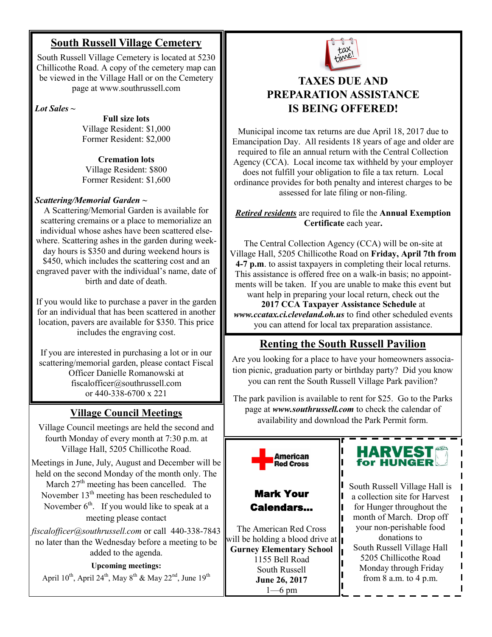## **South Russell Village Cemetery**

South Russell Village Cemetery is located at 5230 Chillicothe Road. A copy of the cemetery map can be viewed in the Village Hall or on the Cemetery page at www.southrussell.com

*Lot Sales* **~**

**Full size lots**  Village Resident: \$1,000 Former Resident: \$2,000

**Cremation lots**  Village Resident: \$800 Former Resident: \$1,600

#### *Scattering/Memorial Garden* **~**

A Scattering/Memorial Garden is available for scattering cremains or a place to memorialize an individual whose ashes have been scattered elsewhere. Scattering ashes in the garden during weekday hours is \$350 and during weekend hours is \$450, which includes the scattering cost and an engraved paver with the individual's name, date of birth and date of death.

If you would like to purchase a paver in the garden for an individual that has been scattered in another location, pavers are available for \$350. This price includes the engraving cost.

If you are interested in purchasing a lot or in our scattering/memorial garden, please contact Fiscal Officer Danielle Romanowski at fiscalofficer@southrussell.com or 440-338-6700 x 221

## **Village Council Meetings**

Village Council meetings are held the second and fourth Monday of every month at 7:30 p.m. at Village Hall, 5205 Chillicothe Road.

Meetings in June, July, August and December will be held on the second Monday of the month only. The March  $27<sup>th</sup>$  meeting has been cancelled. The November 13<sup>th</sup> meeting has been rescheduled to November  $6<sup>th</sup>$ . If you would like to speak at a meeting please contact

*fiscalofficer@southrussell.com* or call 440-338-7843 no later than the Wednesday before a meeting to be added to the agenda.

#### **Upcoming meetings:**

April  $10^{th}$ , April  $24^{th}$ , May  $8^{th}$  & May  $22^{nd}$ , June  $19^{th}$ 



# **TAXES DUE AND PREPARATION ASSISTANCE IS BEING OFFERED!**

Municipal income tax returns are due April 18, 2017 due to Emancipation Day. All residents 18 years of age and older are required to file an annual return with the Central Collection Agency (CCA). Local income tax withheld by your employer does not fulfill your obligation to file a tax return. Local ordinance provides for both penalty and interest charges to be assessed for late filing or non-filing.

#### *Retired residents* are required to file the **Annual Exemption Certificate** each year**.**

The Central Collection Agency (CCA) will be on-site at Village Hall, 5205 Chillicothe Road on **Friday, April 7th from 4-7 p.m**. to assist taxpayers in completing their local returns. This assistance is offered free on a walk-in basis; no appointments will be taken. If you are unable to make this event but want help in preparing your local return, check out the

**2017 CCA Taxpayer Assistance Schedule** at *www.ccatax.ci.cleveland.oh.us* to find other scheduled events you can attend for local tax preparation assistance.

# **Renting the South Russell Pavilion**

Are you looking for a place to have your homeowners association picnic, graduation party or birthday party? Did you know you can rent the South Russell Village Park pavilion?

The park pavilion is available to rent for \$25. Go to the Parks page at *www.southrussell.com* to check the calendar of availability and download the Park Permit form.



The American Red Cross will be holding a blood drive at **Gurney Elementary School**  1155 Bell Road South Russell **June 26, 2017**  1—6 pm



South Russell Village Hall is a collection site for Harvest for Hunger throughout the month of March. Drop off your non-perishable food donations to South Russell Village Hall 5205 Chillicothe Road Monday through Friday from 8 a.m. to 4 p.m.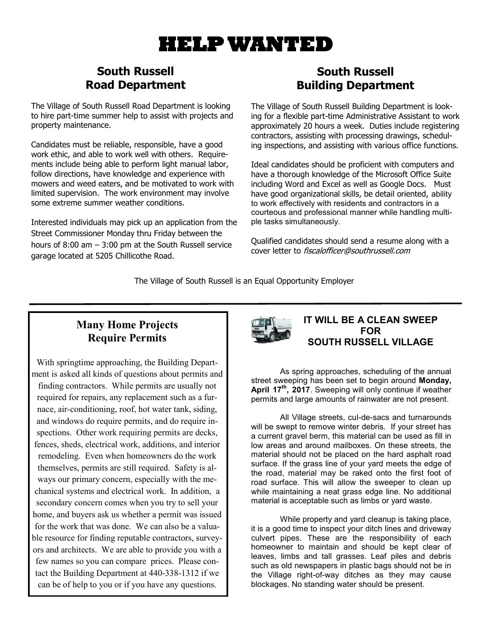# **HELP WANTED**

# **South Russell Road Department**

The Village of South Russell Road Department is looking to hire part-time summer help to assist with projects and property maintenance.

Candidates must be reliable, responsible, have a good work ethic, and able to work well with others. Requirements include being able to perform light manual labor, follow directions, have knowledge and experience with mowers and weed eaters, and be motivated to work with limited supervision. The work environment may involve some extreme summer weather conditions.

Interested individuals may pick up an application from the Street Commissioner Monday thru Friday between the hours of 8:00 am – 3:00 pm at the South Russell service garage located at 5205 Chillicothe Road.

# **South Russell Building Department**

The Village of South Russell Building Department is looking for a flexible part-time Administrative Assistant to work approximately 20 hours a week. Duties include registering contractors, assisting with processing drawings, scheduling inspections, and assisting with various office functions.

Ideal candidates should be proficient with computers and have a thorough knowledge of the Microsoft Office Suite including Word and Excel as well as Google Docs. Must have good organizational skills, be detail oriented, ability to work effectively with residents and contractors in a courteous and professional manner while handling multiple tasks simultaneously.

Qualified candidates should send a resume along with a cover letter to fiscalofficer@southrussell.com

The Village of South Russell is an Equal Opportunity Employer

## **Many Home Projects Require Permits**

With springtime approaching, the Building Department is asked all kinds of questions about permits and finding contractors. While permits are usually not required for repairs, any replacement such as a furnace, air-conditioning, roof, hot water tank, siding, and windows do require permits, and do require inspections. Other work requiring permits are decks, fences, sheds, electrical work, additions, and interior remodeling. Even when homeowners do the work themselves, permits are still required. Safety is always our primary concern, especially with the mechanical systems and electrical work. In addition, a secondary concern comes when you try to sell your home, and buyers ask us whether a permit was issued for the work that was done. We can also be a valuable resource for finding reputable contractors, surveyors and architects. We are able to provide you with a few names so you can compare prices. Please contact the Building Department at 440-338-1312 if we can be of help to you or if you have any questions.



#### **IT WILL BE A CLEAN SWEEP FOR SOUTH RUSSELL VILLAGE**

As spring approaches, scheduling of the annual street sweeping has been set to begin around **Monday, April 17th, 2017**. Sweeping will only continue if weather permits and large amounts of rainwater are not present.

All Village streets, cul-de-sacs and turnarounds will be swept to remove winter debris. If your street has a current gravel berm, this material can be used as fill in low areas and around mailboxes. On these streets, the material should not be placed on the hard asphalt road surface. If the grass line of your yard meets the edge of the road, material may be raked onto the first foot of road surface. This will allow the sweeper to clean up while maintaining a neat grass edge line. No additional material is acceptable such as limbs or yard waste.

While property and yard cleanup is taking place, it is a good time to inspect your ditch lines and driveway culvert pipes. These are the responsibility of each homeowner to maintain and should be kept clear of leaves, limbs and tall grasses. Leaf piles and debris such as old newspapers in plastic bags should not be in the Village right-of-way ditches as they may cause blockages. No standing water should be present.